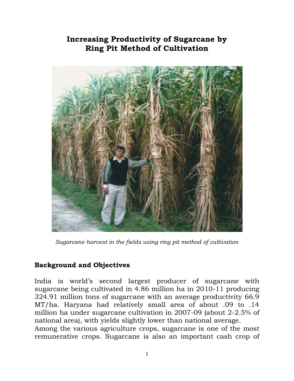## **Increasing Productivity of Sugarcane by Ring Pit Method of Cultivation**



*Sugarcane harvest in the fields using ring pit method of cultivation* 

## **Background and Objectives**

India is world's second largest producer of sugarcane with sugarcane being cultivated in 4.86 million ha in 2010-11 producing 324.91 million tons of sugarcane with an average productivity 66.9 MT/ha. Haryana had relatively small area of about .09 to .14 million ha under sugarcane cultivation in 2007-09 (about 2-2.5% of national area), with yields slightly lower than national average. Among the various agriculture crops, sugarcane is one of the most

remunerative crops. Sugarcane is also an important cash crop of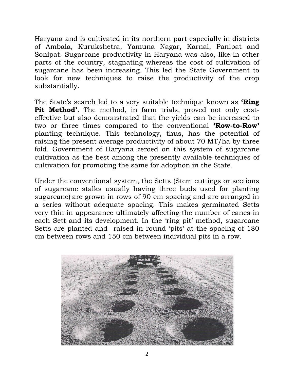Haryana and is cultivated in its northern part especially in districts of Ambala, Kurukshetra, Yamuna Nagar, Karnal, Panipat and Sonipat. Sugarcane productivity in Haryana was also, like in other parts of the country, stagnating whereas the cost of cultivation of sugarcane has been increasing. This led the State Government to look for new techniques to raise the productivity of the crop substantially.

The State's search led to a very suitable technique known as **'Ring Pit Method'**. The method, in farm trials, proved not only costeffective but also demonstrated that the yields can be increased to two or three times compared to the conventional **'Row-to-Row'** planting technique. This technology, thus, has the potential of raising the present average productivity of about 70 MT/ha by three fold. Government of Haryana zeroed on this system of sugarcane cultivation as the best among the presently available techniques of cultivation for promoting the same for adoption in the State.

Under the conventional system, the Setts (Stem cuttings or sections of sugarcane stalks usually having three buds used for planting sugarcane) are grown in rows of 90 cm spacing and are arranged in a series without adequate spacing. This makes germinated Setts very thin in appearance ultimately affecting the number of canes in each Sett and its development. In the 'ring pit' method, sugarcane Setts are planted and raised in round 'pits' at the spacing of 180 cm between rows and 150 cm between individual pits in a row.

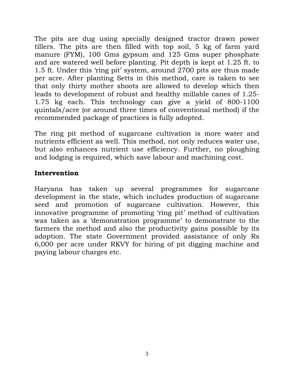The pits are dug using specially designed tractor drawn power tillers. The pits are then filled with top soil, 5 kg of farm yard manure (FYM), 100 Gms gypsum and 125 Gms super phosphate and are watered well before planting. Pit depth is kept at 1.25 ft. to 1.5 ft. Under this 'ring pit' system, around 2700 pits are thus made per acre. After planting Setts in this method, care is taken to see that only thirty mother shoots are allowed to develop which then leads to development of robust and healthy millable canes of 1.25- 1.75 kg each. This technology can give a yield of 800-1100 quintals/acre (or around three times of conventional method) if the recommended package of practices is fully adopted.

The ring pit method of sugarcane cultivation is more water and nutrients efficient as well. This method, not only reduces water use, but also enhances nutrient use efficiency. Further, no ploughing and lodging is required, which save labour and machining cost.

## **Intervention**

Haryana has taken up several programmes for sugarcane development in the state, which includes production of sugarcane seed and promotion of sugarcane cultivation. However, this innovative programme of promoting 'ring pit' method of cultivation was taken as a 'demonstration programme' to demonstrate to the farmers the method and also the productivity gains possible by its adoption. The state Government provided assistance of only Rs 6,000 per acre under RKVY for hiring of pit digging machine and paying labour charges etc.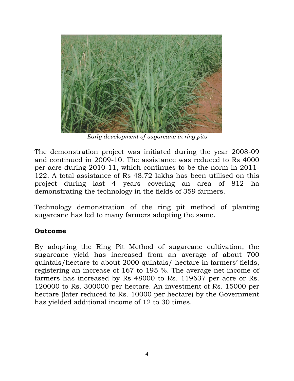

*Early development of sugarcane in ring pits*

The demonstration project was initiated during the year 2008-09 and continued in 2009-10. The assistance was reduced to Rs 4000 per acre during 2010-11, which continues to be the norm in 2011- 122. A total assistance of Rs 48.72 lakhs has been utilised on this project during last 4 years covering an area of 812 ha demonstrating the technology in the fields of 359 farmers.

Technology demonstration of the ring pit method of planting sugarcane has led to many farmers adopting the same.

## **Outcome**

By adopting the Ring Pit Method of sugarcane cultivation, the sugarcane yield has increased from an average of about 700 quintals/hectare to about 2000 quintals/ hectare in farmers' fields, registering an increase of 167 to 195 %. The average net income of farmers has increased by Rs 48000 to Rs. 119637 per acre or Rs. 120000 to Rs. 300000 per hectare. An investment of Rs. 15000 per hectare (later reduced to Rs. 10000 per hectare) by the Government has yielded additional income of 12 to 30 times.